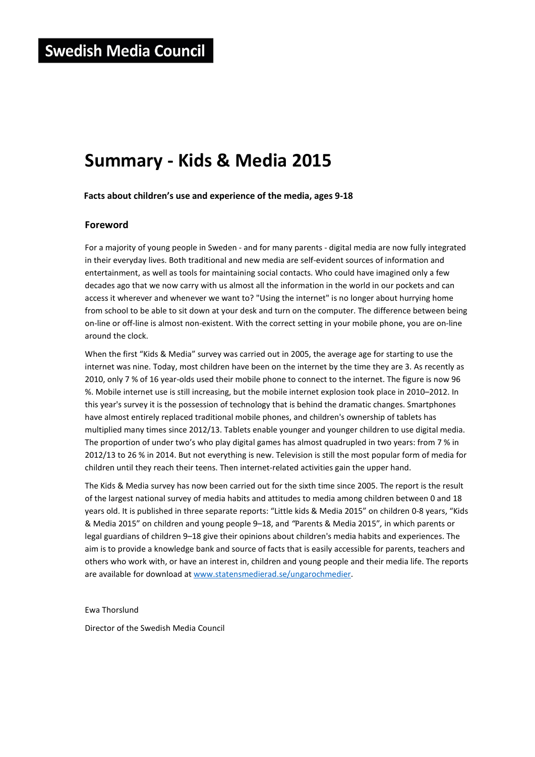# **Summary - Kids & Media 2015**

**Facts about children's use and experience of the media, ages 9-18**

## **Foreword**

For a majority of young people in Sweden - and for many parents - digital media are now fully integrated in their everyday lives. Both traditional and new media are self-evident sources of information and entertainment, as well as tools for maintaining social contacts. Who could have imagined only a few decades ago that we now carry with us almost all the information in the world in our pockets and can access it wherever and whenever we want to? "Using the internet" is no longer about hurrying home from school to be able to sit down at your desk and turn on the computer. The difference between being on-line or off-line is almost non-existent. With the correct setting in your mobile phone, you are on-line around the clock.

When the first "Kids & Media" survey was carried out in 2005, the average age for starting to use the internet was nine. Today, most children have been on the internet by the time they are 3. As recently as 2010, only 7 % of 16 year-olds used their mobile phone to connect to the internet. The figure is now 96 %. Mobile internet use is still increasing, but the mobile internet explosion took place in 2010–2012. In this year's survey it is the possession of technology that is behind the dramatic changes. Smartphones have almost entirely replaced traditional mobile phones, and children's ownership of tablets has multiplied many times since 2012/13. Tablets enable younger and younger children to use digital media. The proportion of under two's who play digital games has almost quadrupled in two years: from 7 % in 2012/13 to 26 % in 2014. But not everything is new. Television is still the most popular form of media for children until they reach their teens. Then internet-related activities gain the upper hand.

The Kids & Media survey has now been carried out for the sixth time since 2005. The report is the result of the largest national survey of media habits and attitudes to media among children between 0 and 18 years old. It is published in three separate reports: "Little kids & Media 2015" on children 0-8 years, "Kids & Media 2015" on children and young people 9–18, and *"*Parents & Media 2015"*,* in which parents or legal guardians of children 9–18 give their opinions about children's media habits and experiences. The aim is to provide a knowledge bank and source of facts that is easily accessible for parents, teachers and others who work with, or have an interest in, children and young people and their media life. The reports are available for download at www.statensmedierad.se/ungarochmedier.

Ewa Thorslund

Director of the Swedish Media Council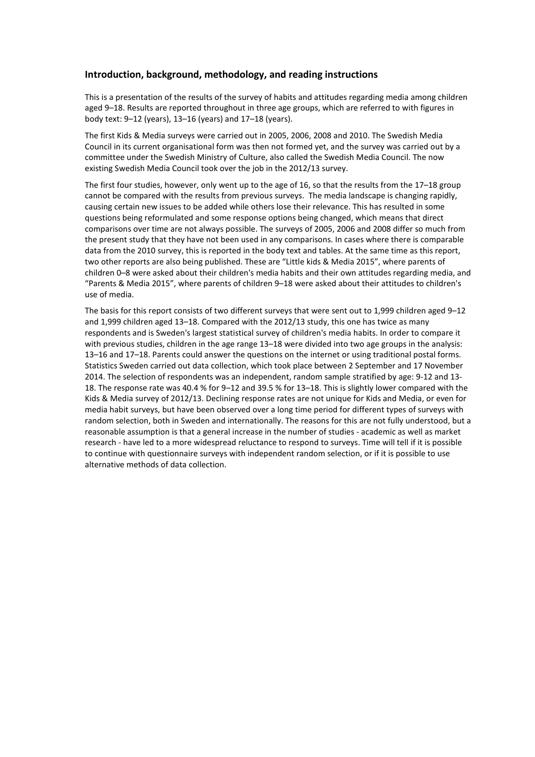## **Introduction, background, methodology, and reading instructions**

This is a presentation of the results of the survey of habits and attitudes regarding media among children aged 9–18. Results are reported throughout in three age groups, which are referred to with figures in body text: 9–12 (years), 13–16 (years) and 17–18 (years).

The first Kids & Media surveys were carried out in 2005, 2006, 2008 and 2010. The Swedish Media Council in its current organisational form was then not formed yet, and the survey was carried out by a committee under the Swedish Ministry of Culture, also called the Swedish Media Council. The now existing Swedish Media Council took over the job in the 2012/13 survey.

The first four studies, however, only went up to the age of 16, so that the results from the 17–18 group cannot be compared with the results from previous surveys. The media landscape is changing rapidly, causing certain new issues to be added while others lose their relevance. This has resulted in some questions being reformulated and some response options being changed, which means that direct comparisons over time are not always possible. The surveys of 2005, 2006 and 2008 differ so much from the present study that they have not been used in any comparisons. In cases where there is comparable data from the 2010 survey, this is reported in the body text and tables. At the same time as this report, two other reports are also being published. These are "Little kids & Media 2015", where parents of children 0–8 were asked about their children's media habits and their own attitudes regarding media, and "Parents & Media 2015", where parents of children 9–18 were asked about their attitudes to children's use of media.

The basis for this report consists of two different surveys that were sent out to 1,999 children aged 9–12 and 1,999 children aged 13–18. Compared with the 2012/13 study, this one has twice as many respondents and is Sweden's largest statistical survey of children's media habits. In order to compare it with previous studies, children in the age range 13–18 were divided into two age groups in the analysis: 13–16 and 17–18. Parents could answer the questions on the internet or using traditional postal forms. Statistics Sweden carried out data collection, which took place between 2 September and 17 November 2014. The selection of respondents was an independent, random sample stratified by age: 9-12 and 13- 18. The response rate was 40.4 % for 9–12 and 39.5 % for 13–18. This is slightly lower compared with the Kids & Media survey of 2012/13. Declining response rates are not unique for Kids and Media, or even for media habit surveys, but have been observed over a long time period for different types of surveys with random selection, both in Sweden and internationally. The reasons for this are not fully understood, but a reasonable assumption is that a general increase in the number of studies - academic as well as market research - have led to a more widespread reluctance to respond to surveys. Time will tell if it is possible to continue with questionnaire surveys with independent random selection, or if it is possible to use alternative methods of data collection.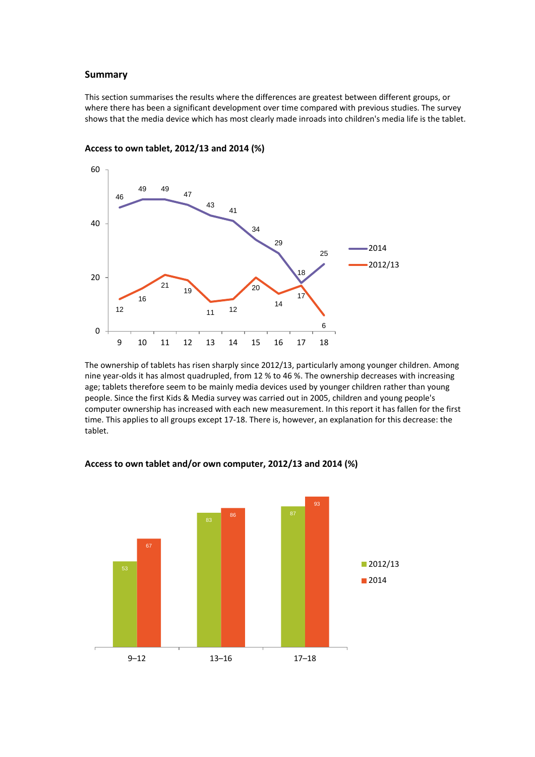## **Summary**

This section summarises the results where the differences are greatest between different groups, or where there has been a significant development over time compared with previous studies. The survey shows that the media device which has most clearly made inroads into children's media life is the tablet.



#### **Access to own tablet, 2012/13 and 2014 (%)**

The ownership of tablets has risen sharply since 2012/13, particularly among younger children. Among nine year-olds it has almost quadrupled, from 12 % to 46 %. The ownership decreases with increasing age; tablets therefore seem to be mainly media devices used by younger children rather than young people. Since the first Kids & Media survey was carried out in 2005, children and young people's computer ownership has increased with each new measurement. In this report it has fallen for the first time. This applies to all groups except 17-18. There is, however, an explanation for this decrease: the tablet.



#### **Access to own tablet and/or own computer, 2012/13 and 2014 (%)**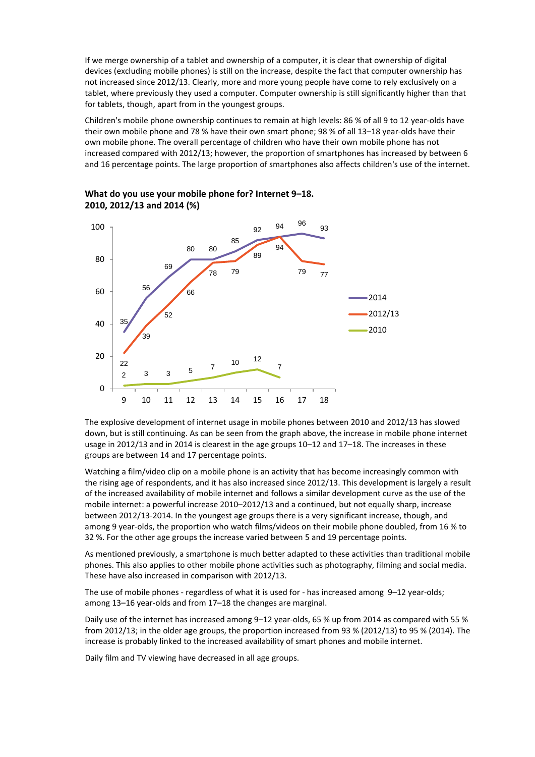If we merge ownership of a tablet and ownership of a computer, it is clear that ownership of digital devices (excluding mobile phones) is still on the increase, despite the fact that computer ownership has not increased since 2012/13. Clearly, more and more young people have come to rely exclusively on a tablet, where previously they used a computer. Computer ownership is still significantly higher than that for tablets, though, apart from in the youngest groups.

Children's mobile phone ownership continues to remain at high levels: 86 % of all 9 to 12 year-olds have their own mobile phone and 78 % have their own smart phone; 98 % of all 13–18 year-olds have their own mobile phone. The overall percentage of children who have their own mobile phone has not increased compared with 2012/13; however, the proportion of smartphones has increased by between 6 and 16 percentage points. The large proportion of smartphones also affects children's use of the internet.





The explosive development of internet usage in mobile phones between 2010 and 2012/13 has slowed down, but is still continuing. As can be seen from the graph above, the increase in mobile phone internet usage in 2012/13 and in 2014 is clearest in the age groups 10–12 and 17–18. The increases in these groups are between 14 and 17 percentage points.

Watching a film/video clip on a mobile phone is an activity that has become increasingly common with the rising age of respondents, and it has also increased since 2012/13. This development is largely a result of the increased availability of mobile internet and follows a similar development curve as the use of the mobile internet: a powerful increase 2010–2012/13 and a continued, but not equally sharp, increase between 2012/13-2014. In the youngest age groups there is a very significant increase, though, and among 9 year-olds, the proportion who watch films/videos on their mobile phone doubled, from 16 % to 32 %. For the other age groups the increase varied between 5 and 19 percentage points.

As mentioned previously, a smartphone is much better adapted to these activities than traditional mobile phones. This also applies to other mobile phone activities such as photography, filming and social media. These have also increased in comparison with 2012/13.

The use of mobile phones - regardless of what it is used for - has increased among 9–12 year-olds; among 13–16 year-olds and from 17–18 the changes are marginal.

Daily use of the internet has increased among 9–12 year-olds, 65 % up from 2014 as compared with 55 % from 2012/13; in the older age groups, the proportion increased from 93 % (2012/13) to 95 % (2014). The increase is probably linked to the increased availability of smart phones and mobile internet.

Daily film and TV viewing have decreased in all age groups.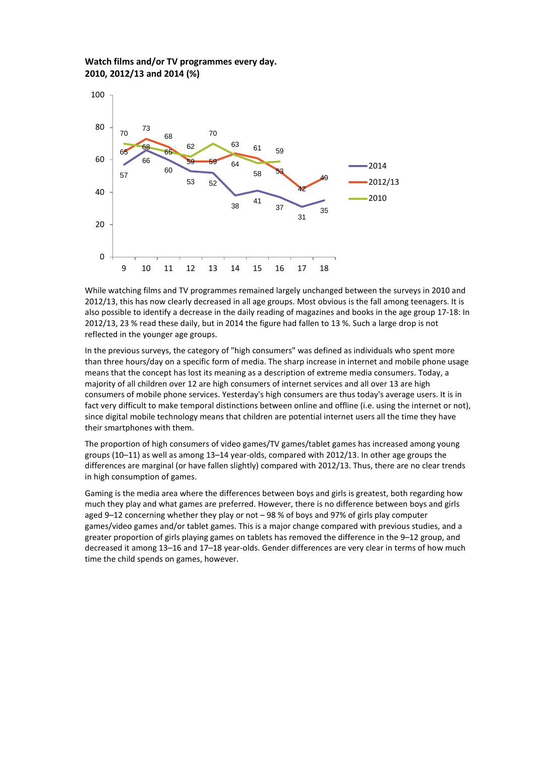## **Watch films and/or TV programmes every day. 2010, 2012/13 and 2014 (%)**



While watching films and TV programmes remained largely unchanged between the surveys in 2010 and 2012/13, this has now clearly decreased in all age groups. Most obvious is the fall among teenagers. It is also possible to identify a decrease in the daily reading of magazines and books in the age group 17-18: In 2012/13, 23 % read these daily, but in 2014 the figure had fallen to 13 %. Such a large drop is not reflected in the younger age groups.

In the previous surveys, the category of "high consumers" was defined as individuals who spent more than three hours/day on a specific form of media. The sharp increase in internet and mobile phone usage means that the concept has lost its meaning as a description of extreme media consumers. Today, a majority of all children over 12 are high consumers of internet services and all over 13 are high consumers of mobile phone services. Yesterday's high consumers are thus today's average users. It is in fact very difficult to make temporal distinctions between online and offline (i.e. using the internet or not), since digital mobile technology means that children are potential internet users all the time they have their smartphones with them.

The proportion of high consumers of video games/TV games/tablet games has increased among young groups (10–11) as well as among 13–14 year-olds, compared with 2012/13. In other age groups the differences are marginal (or have fallen slightly) compared with 2012/13. Thus, there are no clear trends in high consumption of games.

Gaming is the media area where the differences between boys and girls is greatest, both regarding how much they play and what games are preferred. However, there is no difference between boys and girls aged 9–12 concerning whether they play or not – 98 % of boys and 97% of girls play computer games/video games and/or tablet games. This is a major change compared with previous studies, and a greater proportion of girls playing games on tablets has removed the difference in the 9–12 group, and decreased it among 13–16 and 17–18 year-olds. Gender differences are very clear in terms of how much time the child spends on games, however.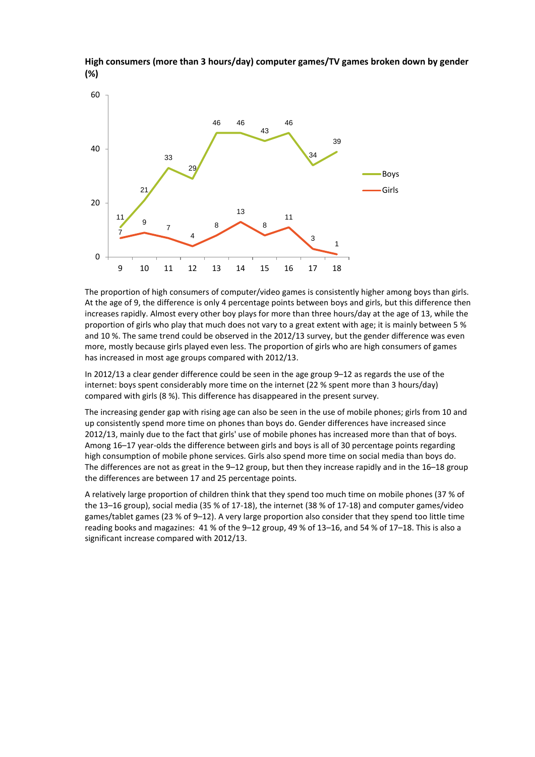

**High consumers (more than 3 hours/day) computer games/TV games broken down by gender (%)**

The proportion of high consumers of computer/video games is consistently higher among boys than girls. At the age of 9, the difference is only 4 percentage points between boys and girls, but this difference then increases rapidly. Almost every other boy plays for more than three hours/day at the age of 13, while the proportion of girls who play that much does not vary to a great extent with age; it is mainly between 5 % and 10 %. The same trend could be observed in the 2012/13 survey, but the gender difference was even more, mostly because girls played even less. The proportion of girls who are high consumers of games has increased in most age groups compared with 2012/13.

In 2012/13 a clear gender difference could be seen in the age group 9–12 as regards the use of the internet: boys spent considerably more time on the internet (22 % spent more than 3 hours/day) compared with girls (8 %). This difference has disappeared in the present survey.

The increasing gender gap with rising age can also be seen in the use of mobile phones; girls from 10 and up consistently spend more time on phones than boys do. Gender differences have increased since 2012/13, mainly due to the fact that girls' use of mobile phones has increased more than that of boys. Among 16–17 year-olds the difference between girls and boys is all of 30 percentage points regarding high consumption of mobile phone services. Girls also spend more time on social media than boys do. The differences are not as great in the 9–12 group, but then they increase rapidly and in the 16–18 group the differences are between 17 and 25 percentage points.

A relatively large proportion of children think that they spend too much time on mobile phones (37 % of the 13–16 group), social media (35 % of 17-18), the internet (38 % of 17-18) and computer games/video games/tablet games (23 % of 9–12). A very large proportion also consider that they spend too little time reading books and magazines: 41 % of the 9–12 group, 49 % of 13–16, and 54 % of 17–18. This is also a significant increase compared with 2012/13.